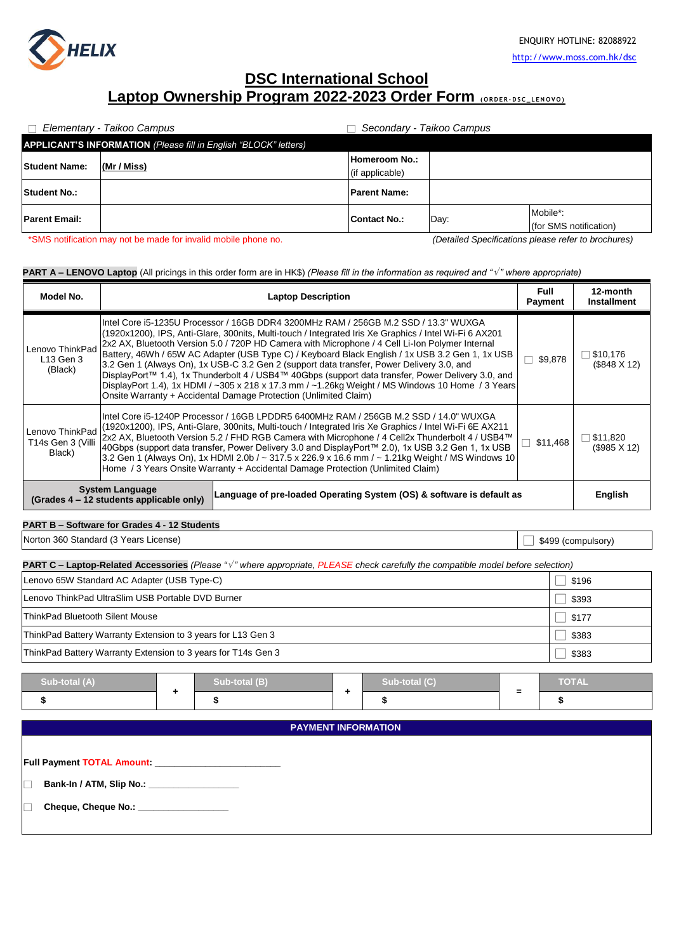

# **DSC International School Laptop Ownership Program 2022-2023 Order Form <b>(ORDER-DSC\_LENOVO)**

|                                                                  | Elementary - Taikoo Campus | Secondary - Taikoo Campus |      |                                    |  |
|------------------------------------------------------------------|----------------------------|---------------------------|------|------------------------------------|--|
| APPLICANT'S INFORMATION (Please fill in English "BLOCK" letters) |                            |                           |      |                                    |  |
| <b>Student Name:</b>                                             | (Mr / Miss)                | <b>Homeroom No.:</b>      |      |                                    |  |
|                                                                  |                            | (if applicable)           |      |                                    |  |
| <b>Student No.:</b>                                              |                            | <b>Parent Name:</b>       |      |                                    |  |
| <b>Parent Email:</b>                                             |                            | Contact No.:              | Day: | Mobile*:<br>(for SMS notification) |  |

\*SMS notification may not be made for invalid mobile phone no. *(Detailed Specifications please refer to brochures)*

## **PART A – LENOVO Laptop** (All pricings in this order form are in HK\$) *(Please fill in the information as required and " " where appropriate)*

| Model No.                                                          |                                                                                                                                                                                                                                                                                                                                                                                                                                                                                                                                                                                                                                                                                                                                                                                | <b>Laptop Description</b>                                             | Full<br>Payment | 12-month<br><b>Installment</b> |
|--------------------------------------------------------------------|--------------------------------------------------------------------------------------------------------------------------------------------------------------------------------------------------------------------------------------------------------------------------------------------------------------------------------------------------------------------------------------------------------------------------------------------------------------------------------------------------------------------------------------------------------------------------------------------------------------------------------------------------------------------------------------------------------------------------------------------------------------------------------|-----------------------------------------------------------------------|-----------------|--------------------------------|
| Lenovo ThinkPad<br>$L$ 13 Gen 3<br>(Black)                         | Intel Core i5-1235U Processor / 16GB DDR4 3200MHz RAM / 256GB M.2 SSD / 13.3" WUXGA<br>(1920x1200), IPS, Anti-Glare, 300nits, Multi-touch / Integrated Iris Xe Graphics / Intel Wi-Fi 6 AX201<br>2x2 AX, Bluetooth Version 5.0 / 720P HD Camera with Microphone / 4 Cell Li-Ion Polymer Internal<br>Battery, 46Wh / 65W AC Adapter (USB Type C) / Keyboard Black English / 1x USB 3.2 Gen 1, 1x USB<br>3.2 Gen 1 (Always On), 1x USB-C 3.2 Gen 2 (support data transfer, Power Delivery 3.0, and<br>DisplayPort™ 1.4), 1x Thunderbolt 4 / USB4™ 40Gbps (support data transfer, Power Delivery 3.0, and<br>DisplayPort 1.4), 1x HDMI / ~305 x 218 x 17.3 mm / ~1.26kg Weight / MS Windows 10 Home / 3 Years<br>Onsite Warranty + Accidental Damage Protection (Unlimited Claim) |                                                                       |                 | \$10,176<br>(\$848 X 12)       |
| Lenovo ThinkPad<br>T14s Gen 3 (Villi<br>Black)                     | IIntel Core i5-1240P Processor / 16GB LPDDR5 6400MHz RAM / 256GB M.2 SSD / 14.0" WUXGA<br>(1920x1200), IPS, Anti-Glare, 300nits, Multi-touch / Integrated Iris Xe Graphics / Intel Wi-Fi 6E AX211<br>2x2 AX, Bluetooth Version 5.2 / FHD RGB Camera with Microphone / 4 Cell2x Thunderbolt 4 / USB4™<br>40Gbps (support data transfer, Power Delivery 3.0 and DisplayPort™ 2.0), 1x USB 3.2 Gen 1, 1x USB<br>3.2 Gen 1 (Always On), 1x HDMI 2.0b / ~ 317.5 x 226.9 x 16.6 mm / ~ 1.21kg Weight / MS Windows 10<br>Home / 3 Years Onsite Warranty + Accidental Damage Protection (Unlimited Claim)                                                                                                                                                                              |                                                                       |                 |                                |
| <b>System Language</b><br>(Grades 4 – 12 students applicable only) |                                                                                                                                                                                                                                                                                                                                                                                                                                                                                                                                                                                                                                                                                                                                                                                | Language of pre-loaded Operating System (OS) & software is default as |                 | English                        |

# **PART B – Software for Grades 4 - 12 Students**

Norton 360 Standard (3 Years License) □ \$499 (compulsory) □ \$499 (compulsory)

|  | <b>PART C – Laptop-Related Accessories</b> (Please " $\sqrt{ }$ " where appropriate, PLEASE check carefully the compatible model before selection) |  |
|--|----------------------------------------------------------------------------------------------------------------------------------------------------|--|
|--|----------------------------------------------------------------------------------------------------------------------------------------------------|--|

| Lenovo 65W Standard AC Adapter (USB Type-C)                   | \$196 |
|---------------------------------------------------------------|-------|
| Lenovo ThinkPad UltraSlim USB Portable DVD Burner             | \$393 |
| <b>ThinkPad Bluetooth Silent Mouse</b>                        | \$177 |
| ThinkPad Battery Warranty Extension to 3 years for L13 Gen 3  | \$383 |
| ThinkPad Battery Warranty Extension to 3 years for T14s Gen 3 | \$383 |

| Sub-total (A) | Sub-total (B) | Sub-total (C) | <b>NOTAL</b> |
|---------------|---------------|---------------|--------------|
|               |               |               |              |

**PAYMENT INFORMATION**

**Full Payment TOTAL Amount: \_\_\_\_\_\_\_\_\_\_\_\_\_\_\_\_\_\_\_\_\_\_\_\_\_**

□ **Bank-In / ATM, Slip No.: \_\_\_\_\_\_\_\_\_\_\_\_\_\_\_\_\_\_**

□ **Cheque, Cheque No.: \_\_\_\_\_\_\_\_\_\_\_\_\_\_\_\_\_\_**